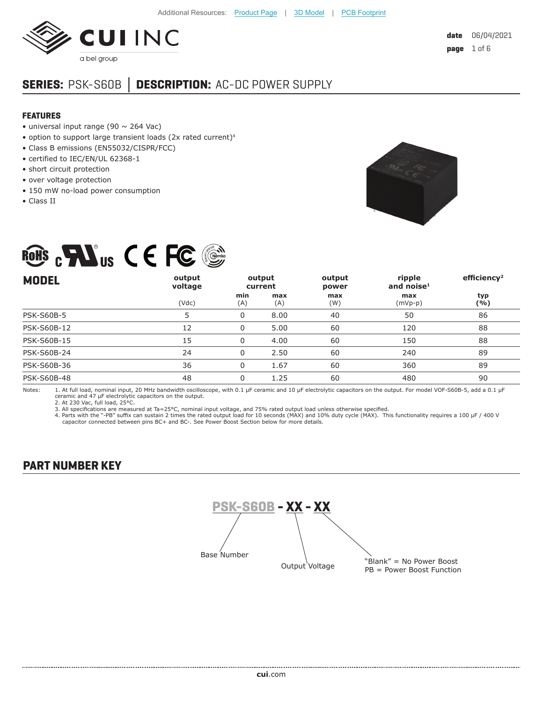

# **SERIES:** PSK-S60B **│ DESCRIPTION:** AC-DC POWER SUPPLY

#### **FEATURES**

- universal input range (90  $\sim$  264 Vac)
- option to support large transient loads (2x rated current)<sup>4</sup>

ROHS . FINIT C F FC

- Class B emissions (EN55032/CISPR/FCC)
- certified to IEC/EN/UL 62368-1
- short circuit protection
- over voltage protection
- 150 mW no-load power consumption
- Class II



| <b>MODEL</b>       | output<br>voltage |            | output<br>current | output<br>power | ripple<br>and noise $1$ | efficiency <sup>2</sup> |
|--------------------|-------------------|------------|-------------------|-----------------|-------------------------|-------------------------|
|                    | (Vdc)             | min<br>(A) | max<br>(A)        | max<br>(W)      | max<br>$(mVp-p)$        | typ<br>( %)             |
| <b>PSK-S60B-5</b>  | 5                 | 0          | 8.00              | 40              | 50                      | 86                      |
| <b>PSK-S60B-12</b> | 12                | 0          | 5.00              | 60              | 120                     | 88                      |
| <b>PSK-S60B-15</b> | 15                | 0          | 4.00              | 60              | 150                     | 88                      |
| PSK-S60B-24        | 24                | $\Omega$   | 2.50              | 60              | 240                     | 89                      |
| PSK-S60B-36        | 36                | 0          | 1.67              | 60              | 360                     | 89                      |
| <b>PSK-S60B-48</b> | 48                | 0          | 1.25              | 60              | 480                     | 90                      |

Notes: 1. At full load, nominal input, 20 MHz bandwidth oscilloscope, with 0.1 μF ceramic and 10 μF electrolytic capacitors on the output. For model VOF-S60B-5, add a 0.1 μF<br>ceramic and 47 μF electrolytic capacitors on th

2. At 230 Vac, full load, 25°C.

3. All specifications are measured at Ta=25°C, nominal input voltage, and 75% rated output load unless otherwise specified.<br>4. Parts with the "-PB" suffix can sustain 2 times the rated output load for 10 seconds (MAX) and capacitor connected between pins BC+ and BC-. See Power Boost Section below for more details.

# **PART NUMBER KEY**

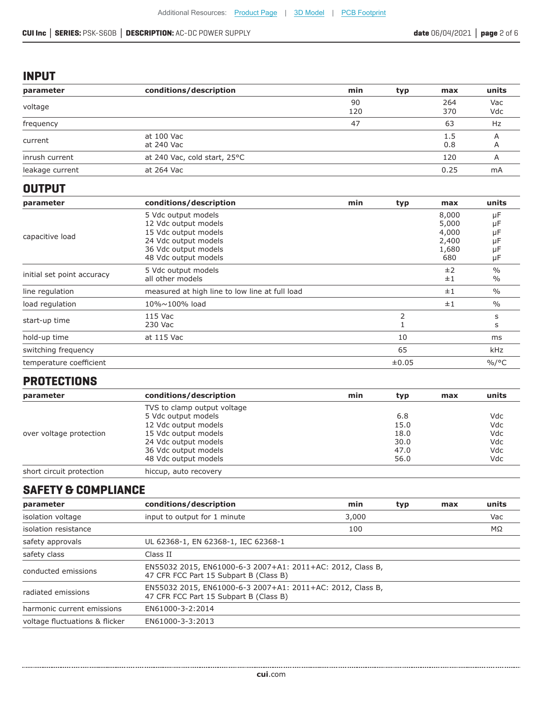### **INPUT**

| parameter       | conditions/description       | min       | typ. | max        | units      |
|-----------------|------------------------------|-----------|------|------------|------------|
| voltage         |                              | 90<br>120 |      | 264<br>370 | Vac<br>Vdc |
| frequency       |                              | 47        |      | 63         | Hz         |
| current         | at 100 Vac<br>at 240 Vac     |           |      | 1.5<br>0.8 |            |
| inrush current  | at 240 Vac, cold start, 25°C |           |      | 120        |            |
| leakage current | at 264 Vac                   |           |      | 0.25       | mA         |

#### **OUTPUT**

| parameter                  | conditions/description                         | min | typ   | max            | units                 |
|----------------------------|------------------------------------------------|-----|-------|----------------|-----------------------|
| capacitive load            | 5 Vdc output models<br>12 Vdc output models    |     |       | 8,000<br>5,000 | μF<br>μF              |
|                            | 15 Vdc output models<br>24 Vdc output models   |     |       | 4,000<br>2,400 | μF<br>μF              |
|                            | 36 Vdc output models<br>48 Vdc output models   |     |       | 1,680<br>680   | μF<br>μF              |
| initial set point accuracy | 5 Vdc output models<br>all other models        |     |       | ±2<br>±1       | $\frac{0}{0}$<br>$\%$ |
| line regulation            | measured at high line to low line at full load |     |       | ±1             | $\frac{0}{0}$         |
| load regulation            | 10%~100% load                                  |     |       | ±1             | $\%$                  |
| start-up time              | 115 Vac<br>230 Vac                             |     |       |                | s<br>S                |
| hold-up time               | at 115 Vac                                     |     | 10    |                | ms                    |
| switching frequency        |                                                |     | 65    |                | kHz                   |
| temperature coefficient    |                                                |     | ±0.05 |                | $\frac{9}{6}$ /°C     |

# **PROTECTIONS**

| parameter                | conditions/description      | min | typ  | max | units |
|--------------------------|-----------------------------|-----|------|-----|-------|
|                          | TVS to clamp output voltage |     |      |     |       |
|                          | 5 Vdc output models         |     | 6.8  |     | Vdc   |
|                          | 12 Vdc output models        |     | 15.0 |     | Vdc   |
| over voltage protection  | 15 Vdc output models        |     | 18.0 |     | Vdc   |
|                          | 24 Vdc output models        |     | 30.0 |     | Vdc   |
|                          | 36 Vdc output models        |     | 47.0 |     | Vdc   |
|                          | 48 Vdc output models        |     | 56.0 |     | Vdc   |
| short circuit protection | hiccup, auto recovery       |     |      |     |       |

# **SAFETY & COMPLIANCE**

| parameter                      | conditions/description                                                                               | min   | typ | max | units |
|--------------------------------|------------------------------------------------------------------------------------------------------|-------|-----|-----|-------|
| isolation voltage              | input to output for 1 minute                                                                         | 3,000 |     |     | Vac   |
| isolation resistance           |                                                                                                      | 100   |     |     | MΩ    |
| safety approvals               | UL 62368-1, EN 62368-1, IEC 62368-1                                                                  |       |     |     |       |
| safety class                   | Class II                                                                                             |       |     |     |       |
| conducted emissions            | EN55032 2015, EN61000-6-3 2007+A1: 2011+AC: 2012, Class B,<br>47 CFR FCC Part 15 Subpart B (Class B) |       |     |     |       |
| radiated emissions             | EN55032 2015, EN61000-6-3 2007+A1: 2011+AC: 2012, Class B,<br>47 CFR FCC Part 15 Subpart B (Class B) |       |     |     |       |
| harmonic current emissions     | EN61000-3-2:2014                                                                                     |       |     |     |       |
| voltage fluctuations & flicker | EN61000-3-3:2013                                                                                     |       |     |     |       |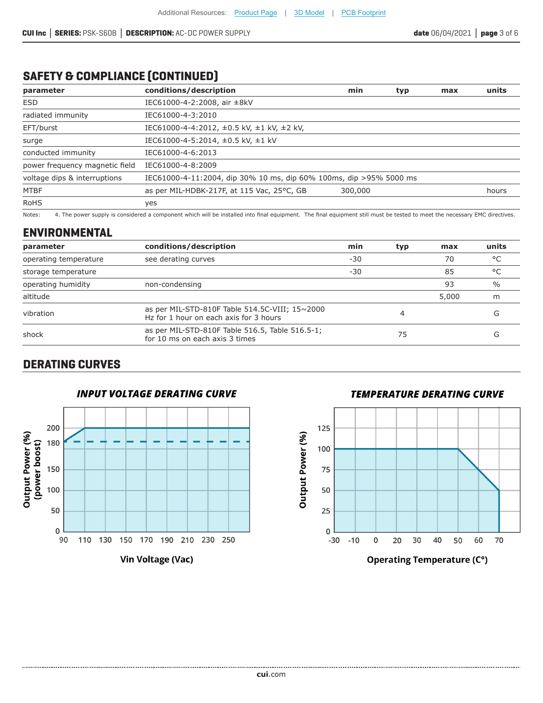# **SAFETY & COMPLIANCE (CONTINUED)**

| parameter                      | conditions/description                                             | min     | typ | max | units |
|--------------------------------|--------------------------------------------------------------------|---------|-----|-----|-------|
| <b>ESD</b>                     | IEC61000-4-2:2008, air ±8kV                                        |         |     |     |       |
| radiated immunity              | IEC61000-4-3:2010                                                  |         |     |     |       |
| EFT/burst                      | IEC61000-4-4:2012, ±0.5 kV, ±1 kV, ±2 kV,                          |         |     |     |       |
| surge                          | IEC61000-4-5:2014, ±0.5 kV, ±1 kV                                  |         |     |     |       |
| conducted immunity             | IEC61000-4-6:2013                                                  |         |     |     |       |
| power frequency magnetic field | IEC61000-4-8:2009                                                  |         |     |     |       |
| voltage dips & interruptions   | IEC61000-4-11:2004, dip 30% 10 ms, dip 60% 100ms, dip >95% 5000 ms |         |     |     |       |
| <b>MTBF</b>                    | as per MIL-HDBK-217F, at 115 Vac, 25°C, GB                         | 300,000 |     |     | hours |
| <b>RoHS</b>                    | yes                                                                |         |     |     |       |

Notes: 4. The power supply is considered a component which will be installed into final equipment. The final equipment still must be tested to meet the necessary EMC directives.

#### **ENVIRONMENTAL**

| parameter             | conditions/description                                                                   | min   | typ | max   | units           |
|-----------------------|------------------------------------------------------------------------------------------|-------|-----|-------|-----------------|
| operating temperature | see derating curves                                                                      | $-30$ |     | 70    | ಿ $\mathcal{C}$ |
| storage temperature   |                                                                                          | $-30$ |     | 85    | $^{\circ}$      |
| operating humidity    | non-condensing                                                                           |       |     | 93    | $\frac{0}{0}$   |
| altitude              |                                                                                          |       |     | 5,000 | m               |
| vibration             | as per MIL-STD-810F Table 514.5C-VIII; 15~2000<br>Hz for 1 hour on each axis for 3 hours |       |     |       | (٦              |
| shock                 | as per MIL-STD-810F Table 516.5, Table 516.5-1;<br>for 10 ms on each axis 3 times        |       | 75  |       |                 |

# **DERATING CURVES**





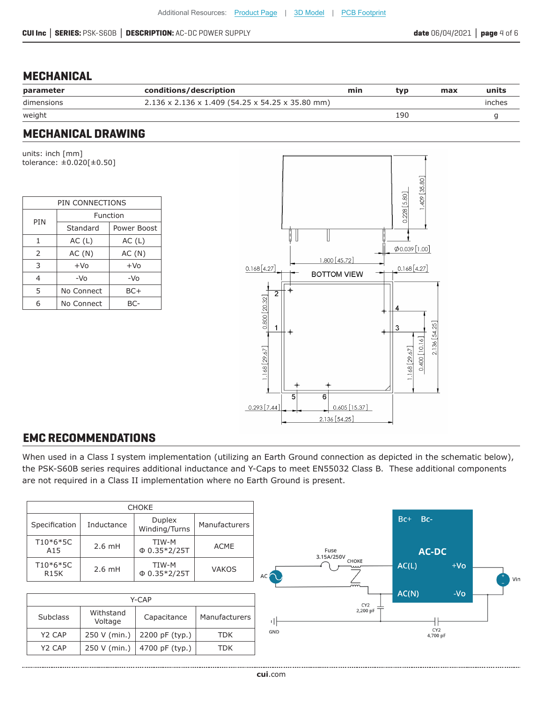### **MECHANICAL**

| parameter  | conditions/description                           | min | tv p | max | units  |
|------------|--------------------------------------------------|-----|------|-----|--------|
| dimensions | 2.136 x 2.136 x 1.409 (54.25 x 54.25 x 35.80 mm) |     |      |     | inches |
| weight     |                                                  |     | 190  |     |        |

### **MECHANICAL DRAWING**

units: inch [mm] tolerance: ±0.020[±0.50]

| PIN CONNECTIONS |            |             |  |  |
|-----------------|------------|-------------|--|--|
| PIN             |            | Function    |  |  |
|                 | Standard   | Power Boost |  |  |
| 1               | AC(L)      | AC(L)       |  |  |
| $\overline{2}$  | AC(N)      | AC(N)       |  |  |
| 3               | $+VO$      | $+VO$       |  |  |
| $\overline{4}$  | $-VO$      | -Vo         |  |  |
| 5               | No Connect | BC+         |  |  |
| 6               | No Connect | BC-         |  |  |



# **EMC RECOMMENDATIONS**

When used in a Class I system implementation (utilizing an Earth Ground connection as depicted in the schematic below), the PSK-S60B series requires additional inductance and Y-Caps to meet EN55032 Class B. These additional components are not required in a Class II implementation where no Earth Ground is present.

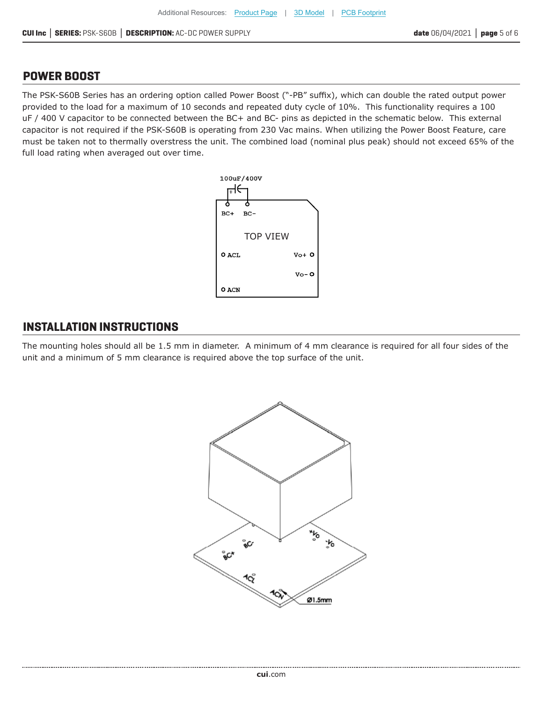#### **POWER BOOST**

The PSK-S60B Series has an ordering option called Power Boost ("-PB" suffix), which can double the rated output power provided to the load for a maximum of 10 seconds and repeated duty cycle of 10%. This functionality requires a 100 uF / 400 V capacitor to be connected between the BC+ and BC- pins as depicted in the schematic below. This external capacitor is not required if the PSK-S60B is operating from 230 Vac mains. When utilizing the Power Boost Feature, care must be taken not to thermally overstress the unit. The combined load (nominal plus peak) should not exceed 65% of the full load rating when averaged out over time.



### **INSTALLATION INSTRUCTIONS**

The mounting holes should all be 1.5 mm in diameter. A minimum of 4 mm clearance is required for all four sides of the unit and a minimum of 5 mm clearance is required above the top surface of the unit.